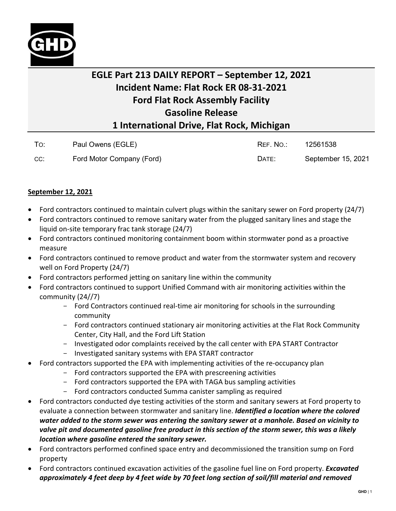

## **EGLE Part 213 DAILY REPORT – September 12, 2021 Incident Name: Flat Rock ER 08-31-2021 Ford Flat Rock Assembly Facility Gasoline Release 1 International Drive, Flat Rock, Michigan**

| To: | Paul Owens (EGLE)         | REF. NO.: | 12561538           |
|-----|---------------------------|-----------|--------------------|
| CC: | Ford Motor Company (Ford) | DATE:     | September 15, 2021 |

## **September 12, 2021**

- Ford contractors continued to maintain culvert plugs within the sanitary sewer on Ford property (24/7)
- Ford contractors continued to remove sanitary water from the plugged sanitary lines and stage the liquid on-site temporary frac tank storage (24/7)
- Ford contractors continued monitoring containment boom within stormwater pond as a proactive measure
- Ford contractors continued to remove product and water from the stormwater system and recovery well on Ford Property (24/7)
- Ford contractors performed jetting on sanitary line within the community
- Ford contractors continued to support Unified Command with air monitoring activities within the community (24//7)
	- Ford Contractors continued real-time air monitoring for schools in the surrounding community
	- Ford contractors continued stationary air monitoring activities at the Flat Rock Community Center, City Hall, and the Ford Lift Station
	- Investigated odor complaints received by the call center with EPA START Contractor
	- Investigated sanitary systems with EPA START contractor
- Ford contractors supported the EPA with implementing activities of the re-occupancy plan
	- Ford contractors supported the EPA with prescreening activities
	- Ford contractors supported the EPA with TAGA bus sampling activities
	- Ford contractors conducted Summa canister sampling as required
- Ford contractors conducted dye testing activities of the storm and sanitary sewers at Ford property to evaluate a connection between stormwater and sanitary line. *Identified a location where the colored water added to the storm sewer was entering the sanitary sewer at a manhole. Based on vicinity to valve pit and documented gasoline free product in this section of the storm sewer, this was a likely location where gasoline entered the sanitary sewer.*
- Ford contractors performed confined space entry and decommissioned the transition sump on Ford property
- Ford contractors continued excavation activities of the gasoline fuel line on Ford property. *Excavated approximately 4 feet deep by 4 feet wide by 70 feet long section of soil/fill material and removed*